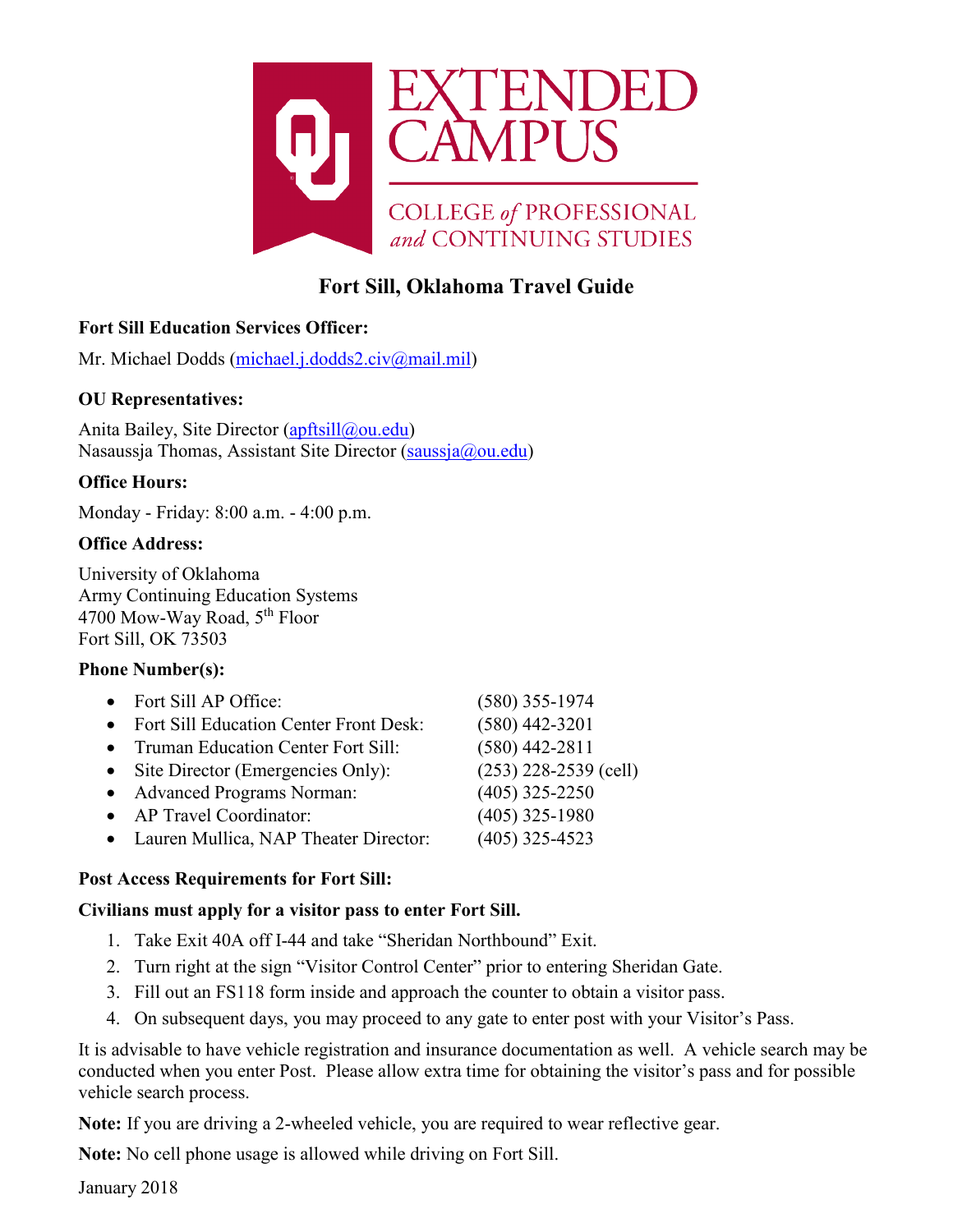

# **Fort Sill, Oklahoma Travel Guide**

# **Fort Sill Education Services Officer:**

Mr. Michael Dodds [\(michael.j.dodds2.civ@mail.mil\)](mailto:michael.j.dodds2.civ@mail.mil)

### **OU Representatives:**

Anita Bailey, Site Director [\(apftsill@ou.edu\)](mailto:apftsill@ou.edu) Nasaussja Thomas, Assistant Site Director [\(saussja@ou.edu\)](mailto:saussja@ou.edu)

### **Office Hours:**

Monday - Friday: 8:00 a.m. - 4:00 p.m.

## **Office Address:**

University of Oklahoma Army Continuing Education Systems 4700 Mow-Way Road, 5<sup>th</sup> Floor Fort Sill, OK 73503

### **Phone Number(s):**

- Fort Sill AP Office: (580) 355-1974 • Fort Sill Education Center Front Desk: (580) 442-3201 • Truman Education Center Fort Sill: (580) 442-2811 • Site Director (Emergencies Only): (253) 228-2539 (cell) • Advanced Programs Norman: (405) 325-2250 • AP Travel Coordinator: (405) 325-1980
	- Lauren Mullica, NAP Theater Director: (405) 325-4523

### **Post Access Requirements for Fort Sill:**

### **Civilians must apply for a visitor pass to enter Fort Sill.**

- 1. Take Exit 40A off I-44 and take "Sheridan Northbound" Exit.
- 2. Turn right at the sign "Visitor Control Center" prior to entering Sheridan Gate.
- 3. Fill out an FS118 form inside and approach the counter to obtain a visitor pass.
- 4. On subsequent days, you may proceed to any gate to enter post with your Visitor's Pass.

It is advisable to have vehicle registration and insurance documentation as well. A vehicle search may be conducted when you enter Post. Please allow extra time for obtaining the visitor's pass and for possible vehicle search process.

**Note:** If you are driving a 2-wheeled vehicle, you are required to wear reflective gear.

**Note:** No cell phone usage is allowed while driving on Fort Sill.

January 2018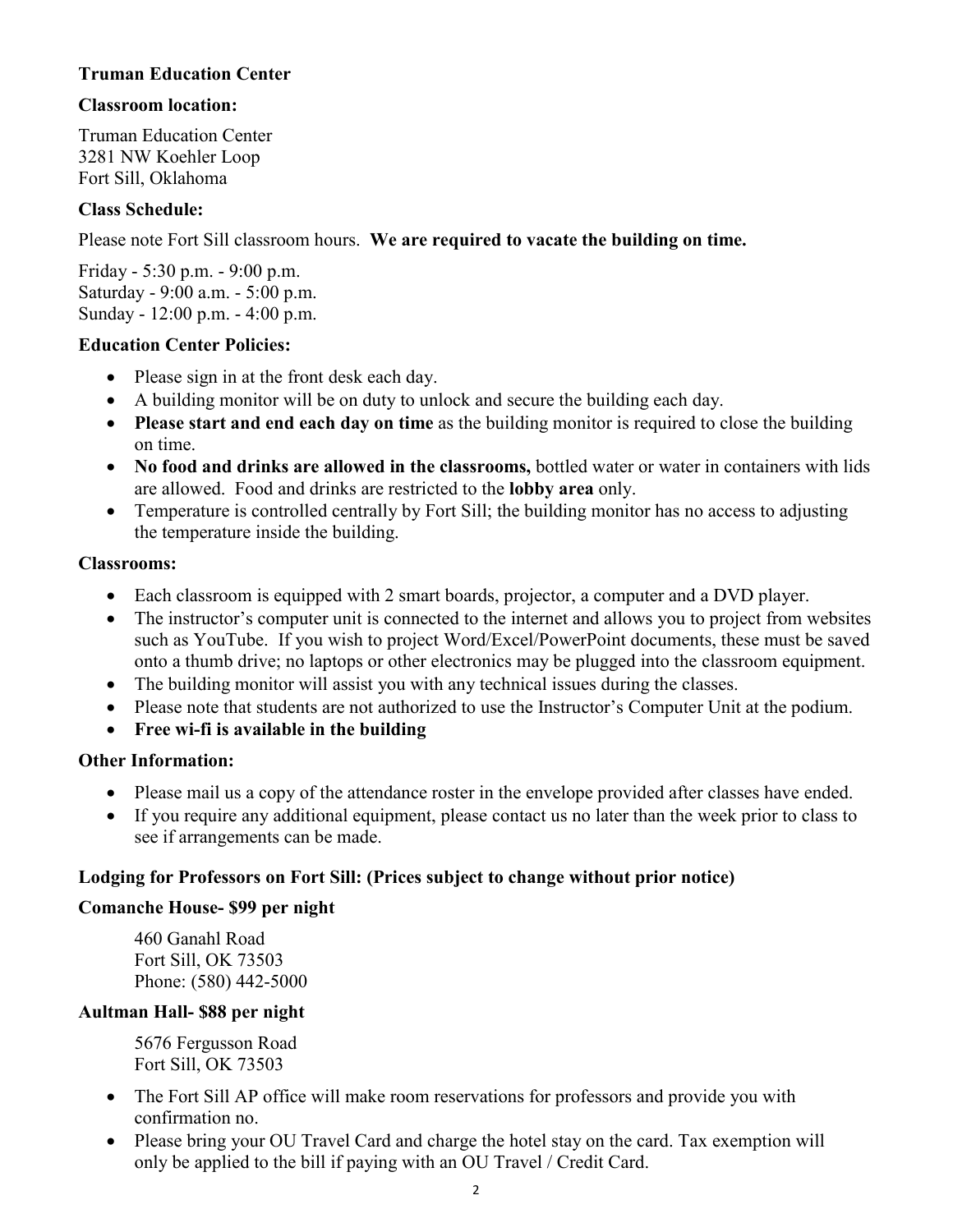### **Truman Education Center**

#### **Classroom location:**

Truman Education Center 3281 NW Koehler Loop Fort Sill, Oklahoma

#### **Class Schedule:**

Please note Fort Sill classroom hours. **We are required to vacate the building on time.**

Friday - 5:30 p.m. - 9:00 p.m. Saturday - 9:00 a.m. - 5:00 p.m. Sunday - 12:00 p.m. - 4:00 p.m.

#### **Education Center Policies:**

- Please sign in at the front desk each day.
- A building monitor will be on duty to unlock and secure the building each day.
- **Please start and end each day on time** as the building monitor is required to close the building on time.
- **No food and drinks are allowed in the classrooms,** bottled water or water in containers with lids are allowed. Food and drinks are restricted to the **lobby area** only.
- Temperature is controlled centrally by Fort Sill; the building monitor has no access to adjusting the temperature inside the building.

#### **Classrooms:**

- Each classroom is equipped with 2 smart boards, projector, a computer and a DVD player.
- The instructor's computer unit is connected to the internet and allows you to project from websites such as YouTube. If you wish to project Word/Excel/PowerPoint documents, these must be saved onto a thumb drive; no laptops or other electronics may be plugged into the classroom equipment.
- The building monitor will assist you with any technical issues during the classes.
- Please note that students are not authorized to use the Instructor's Computer Unit at the podium.
- **Free wi-fi is available in the building**

#### **Other Information:**

- Please mail us a copy of the attendance roster in the envelope provided after classes have ended.
- If you require any additional equipment, please contact us no later than the week prior to class to see if arrangements can be made.

#### **Lodging for Professors on Fort Sill: (Prices subject to change without prior notice)**

#### **Comanche House- \$99 per night**

460 Ganahl Road Fort Sill, OK 73503 Phone: (580) 442-5000

#### **Aultman Hall- \$88 per night**

5676 Fergusson Road Fort Sill, OK 73503

- The Fort Sill AP office will make room reservations for professors and provide you with confirmation no.
- Please bring your OU Travel Card and charge the hotel stay on the card. Tax exemption will only be applied to the bill if paying with an OU Travel / Credit Card.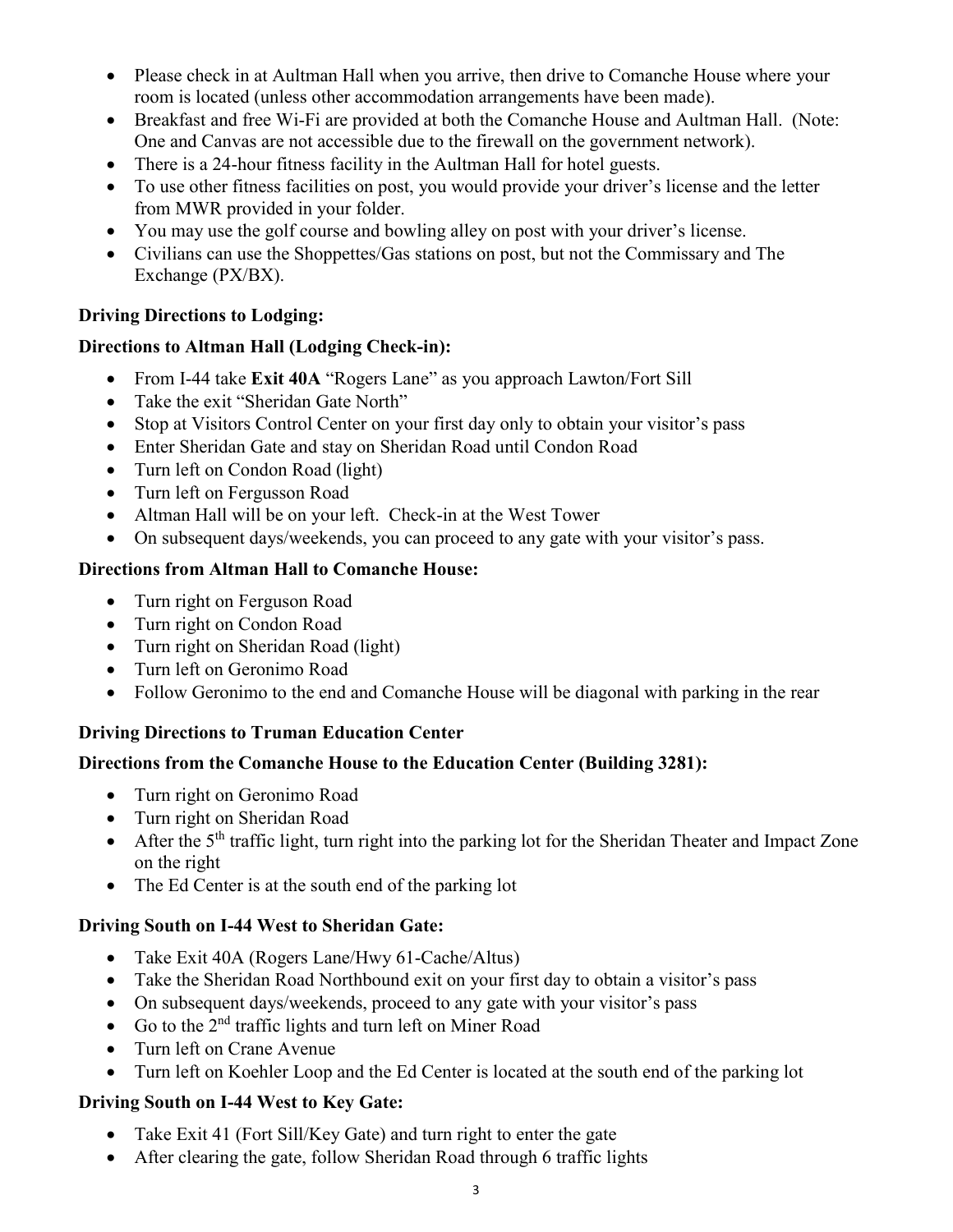- Please check in at Aultman Hall when you arrive, then drive to Comanche House where your room is located (unless other accommodation arrangements have been made).
- Breakfast and free Wi-Fi are provided at both the Comanche House and Aultman Hall. (Note: One and Canvas are not accessible due to the firewall on the government network).
- There is a 24-hour fitness facility in the Aultman Hall for hotel guests.
- To use other fitness facilities on post, you would provide your driver's license and the letter from MWR provided in your folder.
- You may use the golf course and bowling alley on post with your driver's license.
- Civilians can use the Shoppettes/Gas stations on post, but not the Commissary and The Exchange (PX/BX).

# **Driving Directions to Lodging:**

# **Directions to Altman Hall (Lodging Check-in):**

- From I-44 take **Exit 40A** "Rogers Lane" as you approach Lawton/Fort Sill
- Take the exit "Sheridan Gate North"
- Stop at Visitors Control Center on your first day only to obtain your visitor's pass
- Enter Sheridan Gate and stay on Sheridan Road until Condon Road
- Turn left on Condon Road (light)
- Turn left on Fergusson Road
- Altman Hall will be on your left. Check-in at the West Tower
- On subsequent days/weekends, you can proceed to any gate with your visitor's pass.

# **Directions from Altman Hall to Comanche House:**

- Turn right on Ferguson Road
- Turn right on Condon Road
- Turn right on Sheridan Road (light)
- Turn left on Geronimo Road
- Follow Geronimo to the end and Comanche House will be diagonal with parking in the rear

# **Driving Directions to Truman Education Center**

# **Directions from the Comanche House to the Education Center (Building 3281):**

- Turn right on Geronimo Road
- Turn right on Sheridan Road
- After the  $5<sup>th</sup>$  traffic light, turn right into the parking lot for the Sheridan Theater and Impact Zone on the right
- The Ed Center is at the south end of the parking lot

# **Driving South on I-44 West to Sheridan Gate:**

- Take Exit 40A (Rogers Lane/Hwy 61-Cache/Altus)
- Take the Sheridan Road Northbound exit on your first day to obtain a visitor's pass
- On subsequent days/weekends, proceed to any gate with your visitor's pass
- Go to the  $2<sup>nd</sup>$  traffic lights and turn left on Miner Road
- Turn left on Crane Avenue
- Turn left on Koehler Loop and the Ed Center is located at the south end of the parking lot

# **Driving South on I-44 West to Key Gate:**

- Take Exit 41 (Fort Sill/Key Gate) and turn right to enter the gate
- After clearing the gate, follow Sheridan Road through 6 traffic lights